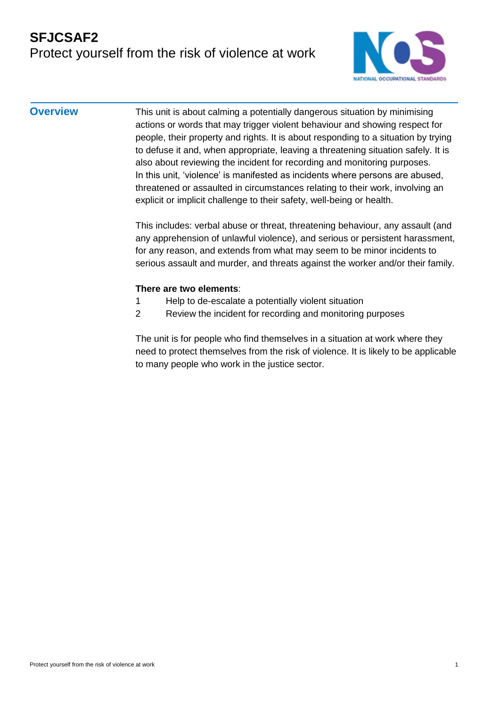### **SFJCSAF2** Protect yourself from the risk of violence at work



**Overview** This unit is about calming a potentially dangerous situation by minimising actions or words that may trigger violent behaviour and showing respect for people, their property and rights. It is about responding to a situation by trying to defuse it and, when appropriate, leaving a threatening situation safely. It is also about reviewing the incident for recording and monitoring purposes. In this unit, 'violence' is manifested as incidents where persons are abused, threatened or assaulted in circumstances relating to their work, involving an explicit or implicit challenge to their safety, well-being or health.

> This includes: verbal abuse or threat, threatening behaviour, any assault (and any apprehension of unlawful violence), and serious or persistent harassment, for any reason, and extends from what may seem to be minor incidents to serious assault and murder, and threats against the worker and/or their family.

#### **There are two elements**:

- 1 Help to de-escalate a potentially violent situation
- 2 Review the incident for recording and monitoring purposes

The unit is for people who find themselves in a situation at work where they need to protect themselves from the risk of violence. It is likely to be applicable to many people who work in the justice sector.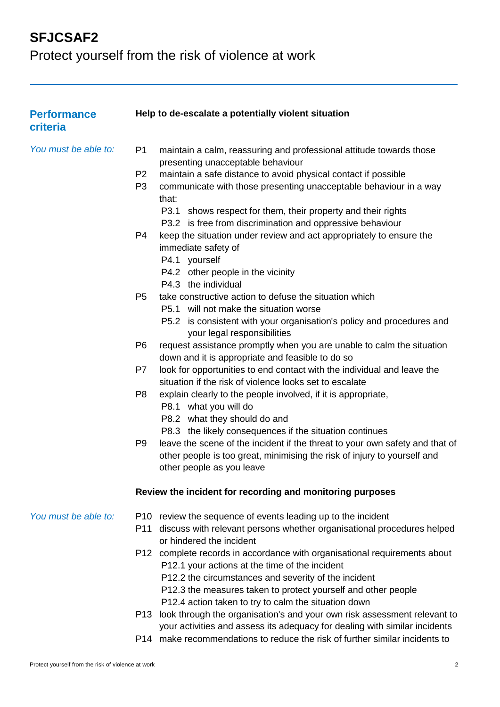Protect yourself from the risk of violence at work

| <b>Performance</b><br>criteria |                                                    | Help to de-escalate a potentially violent situation                                                                                                                                                                                                                                                                      |
|--------------------------------|----------------------------------------------------|--------------------------------------------------------------------------------------------------------------------------------------------------------------------------------------------------------------------------------------------------------------------------------------------------------------------------|
| You must be able to:           | P <sub>1</sub><br>P <sub>2</sub><br>P <sub>3</sub> | maintain a calm, reassuring and professional attitude towards those<br>presenting unacceptable behaviour<br>maintain a safe distance to avoid physical contact if possible<br>communicate with those presenting unacceptable behaviour in a way<br>that:<br>P3.1 shows respect for them, their property and their rights |
|                                | P4                                                 | P3.2 is free from discrimination and oppressive behaviour<br>keep the situation under review and act appropriately to ensure the<br>immediate safety of<br>P4.1 yourself<br>P4.2 other people in the vicinity<br>P4.3 the individual                                                                                     |
|                                | P <sub>5</sub>                                     | take constructive action to defuse the situation which<br>P5.1 will not make the situation worse<br>P5.2 is consistent with your organisation's policy and procedures and<br>your legal responsibilities                                                                                                                 |
|                                | P <sub>6</sub>                                     | request assistance promptly when you are unable to calm the situation<br>down and it is appropriate and feasible to do so                                                                                                                                                                                                |
|                                | P7                                                 | look for opportunities to end contact with the individual and leave the<br>situation if the risk of violence looks set to escalate                                                                                                                                                                                       |
|                                | P <sub>8</sub>                                     | explain clearly to the people involved, if it is appropriate,<br>P8.1 what you will do<br>P8.2 what they should do and<br>P8.3 the likely consequences if the situation continues                                                                                                                                        |
|                                | P <sub>9</sub>                                     | leave the scene of the incident if the threat to your own safety and that of<br>other people is too great, minimising the risk of injury to yourself and<br>other people as you leave                                                                                                                                    |
|                                |                                                    | Review the incident for recording and monitoring purposes                                                                                                                                                                                                                                                                |
| You must be able to:           | P11                                                | P10 review the sequence of events leading up to the incident<br>discuss with relevant persons whether organisational procedures helped<br>or hindered the incident                                                                                                                                                       |
|                                |                                                    | P12 complete records in accordance with organisational requirements about<br>P12.1 your actions at the time of the incident<br>P12.2 the circumstances and severity of the incident<br>P12.3 the measures taken to protect yourself and other people<br>P12.4 action taken to try to calm the situation down             |
|                                | P13                                                | look through the organisation's and your own risk assessment relevant to<br>your activities and assess its adequacy for dealing with similar incidents                                                                                                                                                                   |

P14 make recommendations to reduce the risk of further similar incidents to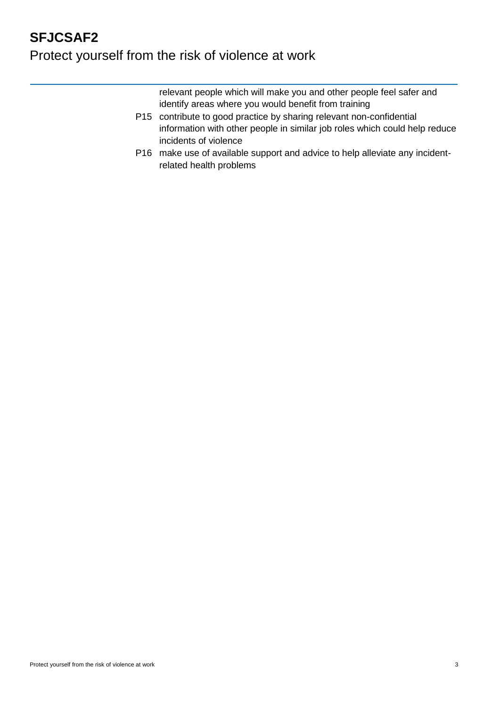# **SFJCSAF2** Protect yourself from the risk of violence at work

relevant people which will make you and other people feel safer and identify areas where you would benefit from training

- P15 contribute to good practice by sharing relevant non-confidential information with other people in similar job roles which could help reduce incidents of violence
- P16 make use of available support and advice to help alleviate any incidentrelated health problems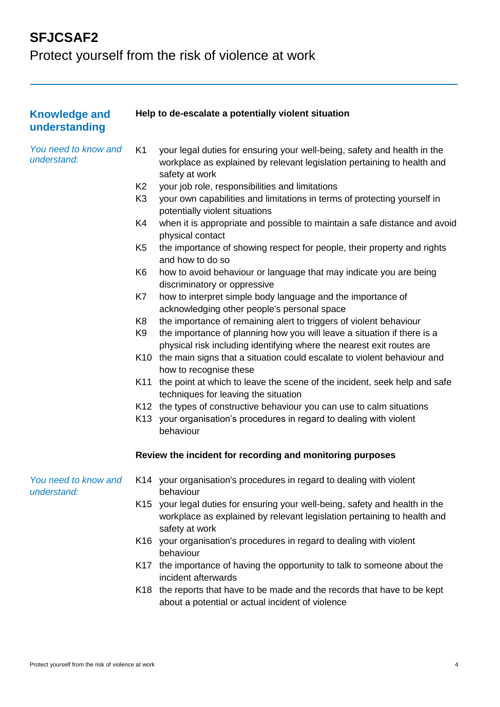Protect yourself from the risk of violence at work

| <b>Knowledge and</b><br>understanding |                | Help to de-escalate a potentially violent situation                                                                                                                       |
|---------------------------------------|----------------|---------------------------------------------------------------------------------------------------------------------------------------------------------------------------|
| You need to know and<br>understand:   | K <sub>1</sub> | your legal duties for ensuring your well-being, safety and health in the<br>workplace as explained by relevant legislation pertaining to health and<br>safety at work     |
|                                       | K <sub>2</sub> | your job role, responsibilities and limitations                                                                                                                           |
|                                       | K <sub>3</sub> | your own capabilities and limitations in terms of protecting yourself in<br>potentially violent situations                                                                |
|                                       | K4             | when it is appropriate and possible to maintain a safe distance and avoid<br>physical contact                                                                             |
|                                       | K <sub>5</sub> | the importance of showing respect for people, their property and rights<br>and how to do so                                                                               |
|                                       | K <sub>6</sub> | how to avoid behaviour or language that may indicate you are being<br>discriminatory or oppressive                                                                        |
|                                       | K7             | how to interpret simple body language and the importance of                                                                                                               |
|                                       |                | acknowledging other people's personal space                                                                                                                               |
|                                       | K <sub>8</sub> | the importance of remaining alert to triggers of violent behaviour                                                                                                        |
|                                       | K9             | the importance of planning how you will leave a situation if there is a<br>physical risk including identifying where the nearest exit routes are                          |
|                                       |                | K10 the main signs that a situation could escalate to violent behaviour and<br>how to recognise these                                                                     |
|                                       | K11            | the point at which to leave the scene of the incident, seek help and safe<br>techniques for leaving the situation                                                         |
|                                       |                | K12 the types of constructive behaviour you can use to calm situations                                                                                                    |
|                                       |                | K13 your organisation's procedures in regard to dealing with violent<br>behaviour                                                                                         |
|                                       |                | Review the incident for recording and monitoring purposes                                                                                                                 |
| You need to know and<br>understand:   |                | K14 your organisation's procedures in regard to dealing with violent<br>behaviour                                                                                         |
|                                       |                | K15 your legal duties for ensuring your well-being, safety and health in the<br>workplace as explained by relevant legislation pertaining to health and<br>safety at work |
|                                       |                | K16 your organisation's procedures in regard to dealing with violent<br>behaviour                                                                                         |
|                                       | K17            | the importance of having the opportunity to talk to someone about the<br>incident afterwards                                                                              |
|                                       |                | K18 the reports that have to be made and the records that have to be kept<br>about a potential or actual incident of violence                                             |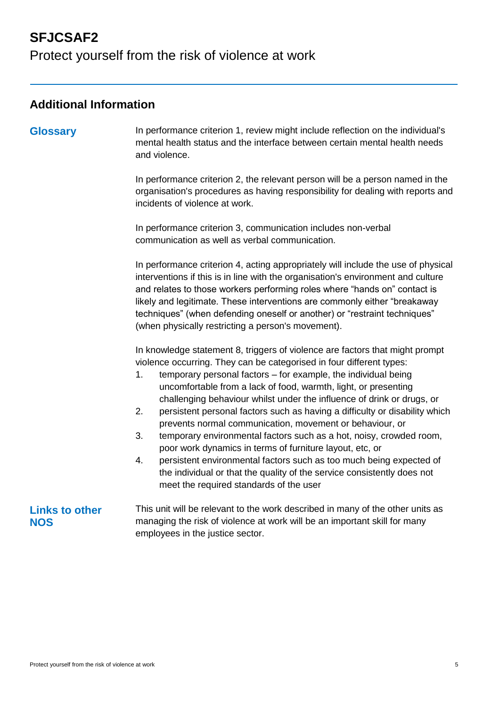Protect yourself from the risk of violence at work

#### **Additional Information**

**Glossary** In performance criterion 1, review might include reflection on the individual's mental health status and the interface between certain mental health needs and violence.

> In performance criterion 2, the relevant person will be a person named in the organisation's procedures as having responsibility for dealing with reports and incidents of violence at work.

In performance criterion 3, communication includes non-verbal communication as well as verbal communication.

In performance criterion 4, acting appropriately will include the use of physical interventions if this is in line with the organisation's environment and culture and relates to those workers performing roles where "hands on" contact is likely and legitimate. These interventions are commonly either "breakaway techniques" (when defending oneself or another) or "restraint techniques" (when physically restricting a person's movement).

In knowledge statement 8, triggers of violence are factors that might prompt violence occurring. They can be categorised in four different types:

- 1. temporary personal factors for example, the individual being uncomfortable from a lack of food, warmth, light, or presenting challenging behaviour whilst under the influence of drink or drugs, or
- 2. persistent personal factors such as having a difficulty or disability which prevents normal communication, movement or behaviour, or
- 3. temporary environmental factors such as a hot, noisy, crowded room, poor work dynamics in terms of furniture layout, etc, or
- 4. persistent environmental factors such as too much being expected of the individual or that the quality of the service consistently does not meet the required standards of the user

#### **Links to other NOS**

This unit will be relevant to the work described in many of the other units as managing the risk of violence at work will be an important skill for many employees in the justice sector.